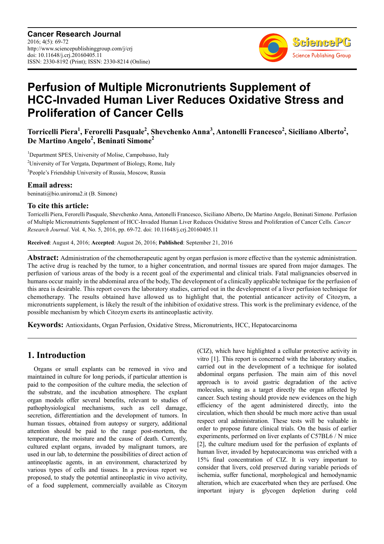

# **Perfusion of Multiple Micronutrients Supplement of HCC-Invaded Human Liver Reduces Oxidative Stress and Proliferation of Cancer Cells**

**Torricelli Piera<sup>1</sup> , Ferorelli Pasquale<sup>2</sup> , Shevchenko Anna<sup>3</sup> , Antonelli Francesco<sup>2</sup> , Siciliano Alberto<sup>2</sup> , De Martino Angelo<sup>2</sup> , Beninati Simone<sup>2</sup>**

<sup>1</sup>Department SPES, University of Molise, Campobasso, Italy <sup>2</sup>University of Tor Vergata, Department of Biology, Rome, Italy 3 People's Friendship University of Russia, Moscow, Russia

### **Email adress:**

beninati@bio.uniroma2.it (B. Simone)

### **To cite this article:**

Torricelli Piera, Ferorelli Pasquale, Shevchenko Anna, Antonelli Francesco, Siciliano Alberto, De Martino Angelo, Beninati Simone. Perfusion of Multiple Micronutrients Supplement of HCC-Invaded Human Liver Reduces Oxidative Stress and Proliferation of Cancer Cells. *Cancer Research Journal*. Vol. 4, No. 5, 2016, pp. 69-72. doi: 10.11648/j.crj.20160405.11

**Received**: August 4, 2016; **Accepted**: August 26, 2016; **Published**: September 21, 2016

**Abstract:** Administration of the chemotherapeutic agent by organ perfusion is more effective than the systemic administration. The active drug is reached by the tumor, to a higher concentration, and normal tissues are spared from major damages. The perfusion of various areas of the body is a recent goal of the experimental and clinical trials. Fatal malignancies observed in humans occur mainly in the abdominal area of the body, The development of a clinically applicable technique for the perfusion of this area is desirable. This report covers the laboratory studies, carried out in the development of a liver perfusion technique for chemotherapy. The results obtained have allowed us to highlight that, the potential anticancer activity of Citozym, a micronutrients supplement, is likely the result of the inhibition of oxidative stress. This work is the preliminary evidence, of the possible mechanism by which Citozym exerts its antineoplastic activity.

**Keywords:** Antioxidants, Organ Perfusion, Oxidative Stress, Micronutrients, HCC, Hepatocarcinoma

### **1. Introduction**

Organs or small explants can be removed in vivo and maintained in culture for long periods, if particular attention is paid to the composition of the culture media, the selection of the substrate, and the incubation atmosphere. The explant organ models offer several benefits, relevant to studies of pathophysiological mechanisms, such as cell damage, secretion, differentiation and the development of tumors. In human tissues, obtained from autopsy or surgery, additional attention should be paid to the range post-mortem, the temperature, the moisture and the cause of death. Currently, cultured explant organs, invaded by malignant tumors, are used in our lab, to determine the possibilities of direct action of antineoplastic agents, in an environment, characterized by various types of cells and tissues. In a previous report we proposed, to study the potential antineoplastic in vivo activity, of a food supplement, commercially available as Citozym (CIZ), which have highlighted a cellular protective activity in vitro [1]. This report is concerned with the laboratory studies, carried out in the development of a technique for isolated abdominal organs perfusion. The main aim of this novel approach is to avoid gastric degradation of the active molecules, using as a target directly the organ affected by cancer. Such testing should provide new evidences on the high efficiency of the agent administered directly, into the circulation, which then should be much more active than usual respect oral administration. These tests will be valuable in order to propose future clinical trials. On the basis of earlier experiments, performed on liver explants of C57BL6 / N mice [2], the culture medium used for the perfusion of explants of human liver, invaded by hepatocarcinoma was enriched with a 15% final concentration of CIZ. It is very important to consider that livers, cold preserved during variable periods of ischemia, suffer functional, morphological and hemodynamic alteration, which are exacerbated when they are perfused. One important injury is glycogen depletion during cold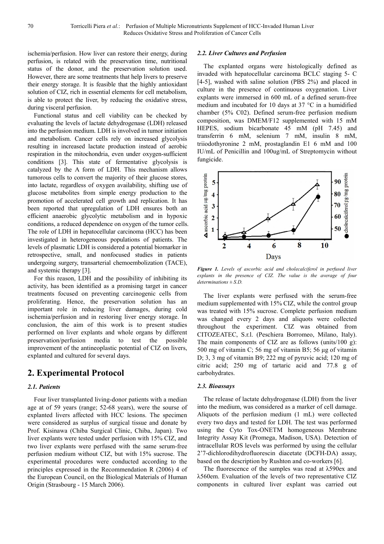ischemia/perfusion. How liver can restore their energy, during perfusion, is related with the preservation time, nutritional status of the donor, and the preservation solution used. However, there are some treatments that help livers to preserve their energy storage. It is feasible that the highly antioxidant solution of CIZ, rich in essential elements for cell metabolism, is able to protect the liver, by reducing the oxidative stress, during visceral perfusion.

Functional status and cell viability can be checked by evaluating the levels of lactate dehydrogenase (LDH) released into the perfusion medium. LDH is involved in tumor initiation and metabolism. Cancer cells rely on increased glycolysis resulting in increased lactate production instead of aerobic respiration in the mitochondria, even under oxygen-sufficient conditions [3]. This state of fermentative glycolysis is catalyzed by the A form of LDH. This mechanism allows tumorous cells to convert the majority of their glucose stores, into lactate, regardless of oxygen availability, shifting use of glucose metabolites from simple energy production to the promotion of accelerated cell growth and replication. It has been reported that upregulation of LDH ensures both an efficient anaerobic glycolytic metabolism and in hypoxic conditions, a reduced dependence on oxygen of the tumor cells. The role of LDH in hepatocellular carcinoma (HCC) has been investigated in heterogeneous populations of patients. The levels of plasmatic LDH is considered a potential biomarker in retrospective, small, and nonfocused studies in patients undergoing surgery, transarterial chemoembolization (TACE), and systemic therapy [3].

For this reason, LDH and the possibility of inhibiting its activity, has been identified as a promising target in cancer treatments focused on preventing carcinogenic cells from proliferating. Hence, the preservation solution has an important role in reducing liver damages, during cold ischemia/perfusion and in restoring liver energy storage. In conclusion, the aim of this work is to present studies performed on liver explants and whole organs by different preservation/perfusion media to test the possible improvement of the antineoplastic potential of CIZ on livers, explanted and cultured for several days.

## **2. Experimental Protocol**

#### *2.1. Patients*

Four liver transplanted living-donor patients with a median age at of 59 years (range; 52-68 years), were the sourse of explanted livers affected with HCC lesions. The specimen were considered as surplus of surgical tissue and donate by Prof. Kisinawa (Chiba Surgical Clinic, Chiba, Japan). Two liver explants were tested under perfusion with 15% CIZ, and two liver explants were perfused with the same serum-free perfusion medium without CIZ, but with 15% sucrose. The experimental procedures were conducted according to the principles expressed in the Recommendation R (2006) 4 of the European Council, on the Biological Materials of Human Origin (Strasbourg - 15 March 2006).

#### *2.2. Liver Cultures and Perfusion*

The explanted organs were histologically defined as invaded with hepatocellular carcinoma BCLC staging 5- C [4-5], washed with saline solution (PBS 2%) and placed in culture in the presence of continuous oxygenation. Liver explants were immersed in 600 mL of a defined serum-free medium and incubated for 10 days at 37 °C in a humidified chamber (5% C02). Defined serum-free perfusion medium composition, was DMEM/F12 supplemented with 15 mM HEPES, sodium bicarbonate 45 mM (pH 7.45) and transferrin 6 mM, selenium 7 mM, insulin 8 mM, triiodothyronine 2 mM, prostaglandin E1 6 mM and 100 IU/mL of Penicillin and 100ug/mL of Streptomycin without fungicide.



*Figure 1. Levels of ascorbic acid and cholecalciferol in perfused liver explants in the presence of CIZ. The value is the average of four determinations ± S.D.* 

The liver explants were perfused with the serum-free medium supplemented with 15% CIZ, while the control group was treated with 15% sucrose. Complete perfusion medium was changed every 2 days and aliquots were collected throughout the experiment. CIZ was obtained from CITOZEATEC, S.r.l. (Peschiera Borromeo, Milano, Italy). The main components of CIZ are as follows (units/100 g): 500 mg of vitamin C; 56 mg of vitamin B5; 56 µg of vitamin D; 3, 3 mg of vitamin B9; 222 mg of pyruvic acid; 120 mg of citric acid; 250 mg of tartaric acid and 77.8 g of carbohydrates.

#### *2.3. Bioassays*

The release of lactate dehydrogenase (LDH) from the liver into the medium, was considered as a marker of cell damage. Aliquots of the perfusion medium (1 mL) were collected every two days and tested for LDH. The test was performed using the Cyto Tox-ONETM homogeneous Membrane Integrity Assay Kit (Promega, Madison, USA). Detection of intracellular ROS levels was performed by using the cellular 2'7-dichlorodihydrofluorescin diacetate (DCFH-DA) assay, based on the description by Rushton and co-workers [6].

The fluorescence of the samples was read at λ590ex and λ560em. Evaluation of the levels of two representative CIZ components in cultured liver explant was carried out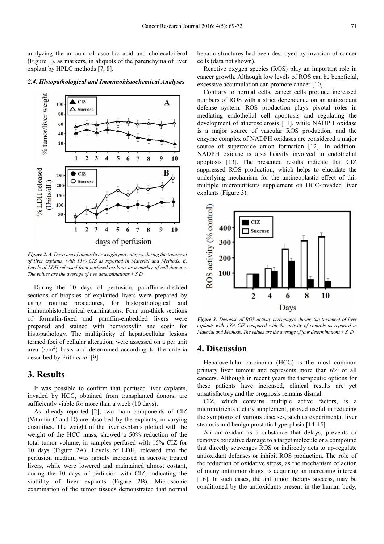analyzing the amount of ascorbic acid and cholecalciferol (Figure 1), as markers, in aliquots of the parenchyma of liver explant by HPLC methods [7, 8].

#### % tumor/liver weight **CIZ**  $\mathbf A$ 100 **Sucrose** ∧ 80 60 40  $20$  $\mathbf{1}$  $\overline{2}$  $\overline{\mathbf{3}}$  $\overline{9}$ 10  $\overline{\mathbf{4}}$ 5 6  $\overline{7}$  $\bf{8}$ % LDH released B **CIZ**  $\bullet$  $250$ O Sucrose (Units/dL)  $200$ 150 100 50  $\mathbf{1}$  $\overline{2}$  $\overline{\mathbf{3}}$  $\overline{\mathbf{4}}$ 5  $\boldsymbol{6}$  $\overline{9}$  $\overline{7}$ 8  $10$ days of perfusion

#### *2.4. Histopathological and Immunohistochemical Analyses*

*Figure 2. A. Decrease of tumor/liver weight percentages, during the treatment of liver explants, with 15% CIZ as reported in Material and Methods. B. Levels of LDH released from perfused explants as a marker of cell damage. The values are the average of two determinations ± S.D.*

During the 10 days of perfusion, paraffin-embedded sections of biopsies of explanted livers were prepared by using routine procedures, for histopathological and immunohistochemical examinations. Four  $\mu$ m-thick sections of formalin-fixed and paraffin-embedded livers were prepared and stained with hematoxylin and eosin for histopathology. The multiplicity of hepatocellular lesions termed foci of cellular alteration, were assessed on a per unit area  $(/cm<sup>2</sup>)$  basis and determined according to the criteria described by Frith *et al*. [9].

### **3. Results**

It was possible to confirm that perfused liver explants, invaded by HCC, obtained from transplanted donors, are sufficiently viable for more than a week (10 days).

As already reported [2], two main components of CIZ (Vitamin C and D) are absorbed by the explants, in varying quantities. The weight of the liver explants plotted with the weight of the HCC mass, showed a 50% reduction of the total tumor volume, in samples perfused with 15% CIZ for 10 days (Figure 2A). Levels of LDH, released into the perfusion medium was rapidly increased in sucrose treated livers, while were lowered and maintained almost costant, during the 10 days of perfusion with CIZ, indicating the viability of liver explants (Figure 2B). Microscopic examination of the tumor tissues demonstrated that normal

hepatic structures had been destroyed by invasion of cancer cells (data not shown).

Reactive oxygen species (ROS) play an important role in cancer growth. Although low levels of ROS can be beneficial, excessive accumulation can promote cancer [10].

Contrary to normal cells, cancer cells produce increased numbers of ROS with a strict dependence on an antioxidant defense system. ROS production plays pivotal roles in mediating endothelial cell apoptosis and regulating the development of atherosclerosis [11], while NADPH oxidase is a major source of vascular ROS production, and the enzyme complex of NADPH oxidases are considered a major source of superoxide anion formation [12]. In addition, NADPH oxidase is also heavily involved in endothelial apoptosis [13]. The presented results indicate that CIZ suppressed ROS production, which helps to elucidate the underlying mechanism for the antineoplastic effect of this multiple micronutrients supplement on HCC-invaded liver explants (Figure 3).



*Figure 3. Decrease of ROS activity percentages during the treatment of liver explants with 15% CIZ compared with the activity of controls as reported in Material and Methods. The values are the average of four determinations*  $\pm S$ . *D.* 

### **4. Discussion**

Hepatocellular carcinoma (HCC) is the most common primary liver tumour and represents more than 6% of all cancers. Although in recent years the therapeutic options for these patients have increased, clinical results are yet unsatisfactory and the prognosis remains dismal.

CIZ, which contains multiple active factors, is a micronutrients dietary supplement, proved useful in reducing the symptoms of various diseases, such as experimental liver steatosis and benign prostatic hyperplasia [14-15].

An antioxidant is a substance that delays, prevents or removes oxidative damage to a target molecule or a compound that directly scavenges ROS or indirectly acts to up-regulate antioxidant defenses or inhibit ROS production. The role of the reduction of oxidative stress, as the mechanism of action of many antitumor drugs, is acquiring an increasing interest [16]. In such cases, the antitumor therapy success, may be conditioned by the antioxidants present in the human body,